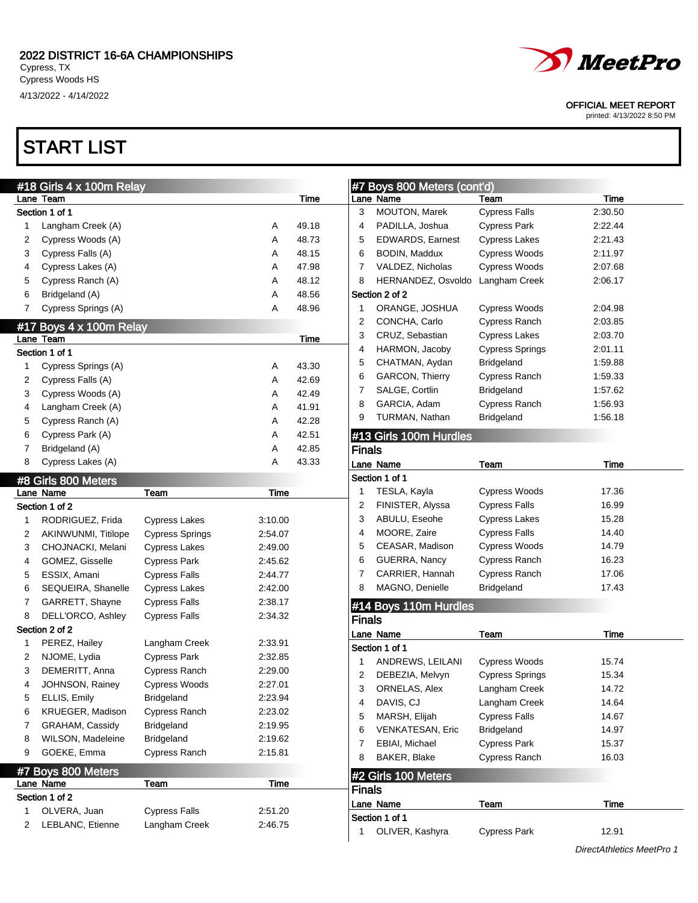# START LIST



### OFFICIAL MEET REPORT

printed: 4/13/2022 8:50 PM

|   | #18 Girls 4 x 100m Relay             |                        |         |             |                | #7 Boys 800 Meters (cont'd) |                        |                           |
|---|--------------------------------------|------------------------|---------|-------------|----------------|-----------------------------|------------------------|---------------------------|
|   | Lane Team                            |                        |         | <b>Time</b> |                | Lane Name                   | Team                   | Time                      |
|   | Section 1 of 1                       |                        |         |             | 3              | MOUTON, Marek               | <b>Cypress Falls</b>   | 2:30.50                   |
| 1 | Langham Creek (A)                    |                        | A       | 49.18       | 4              | PADILLA, Joshua             | <b>Cypress Park</b>    | 2:22.44                   |
| 2 | Cypress Woods (A)                    |                        | Α       | 48.73       | 5              | <b>EDWARDS, Earnest</b>     | <b>Cypress Lakes</b>   | 2:21.43                   |
| 3 | Cypress Falls (A)                    |                        | Α       | 48.15       | 6              | BODIN, Maddux               | Cypress Woods          | 2:11.97                   |
| 4 | Cypress Lakes (A)                    |                        | Α       | 47.98       | 7              | VALDEZ, Nicholas            | Cypress Woods          | 2:07.68                   |
| 5 | Cypress Ranch (A)                    |                        | Α       | 48.12       | 8              | HERNANDEZ, Osvoldo          | Langham Creek          | 2:06.17                   |
| 6 | Bridgeland (A)                       |                        | Α       | 48.56       |                | Section 2 of 2              |                        |                           |
| 7 | Cypress Springs (A)                  |                        | Α       | 48.96       | 1              | ORANGE, JOSHUA              | Cypress Woods          | 2:04.98                   |
|   |                                      |                        |         |             | 2              | CONCHA, Carlo               | <b>Cypress Ranch</b>   | 2:03.85                   |
|   | #17 Boys 4 x 100m Relay<br>Lane Team |                        |         | Time        | 3              | CRUZ, Sebastian             | <b>Cypress Lakes</b>   | 2:03.70                   |
|   | Section 1 of 1                       |                        |         |             | 4              | HARMON, Jacoby              | <b>Cypress Springs</b> | 2:01.11                   |
| 1 |                                      |                        |         | 43.30       | 5              | CHATMAN, Aydan              | <b>Bridgeland</b>      | 1:59.88                   |
|   | Cypress Springs (A)                  |                        | A       | 42.69       | 6              | GARCON, Thierry             | Cypress Ranch          | 1:59.33                   |
| 2 | Cypress Falls (A)                    |                        | Α       |             | 7              | SALGE, Cortlin              | <b>Bridgeland</b>      | 1:57.62                   |
| 3 | Cypress Woods (A)                    |                        | Α       | 42.49       | 8              | GARCIA, Adam                | <b>Cypress Ranch</b>   | 1:56.93                   |
| 4 | Langham Creek (A)                    |                        | Α       | 41.91       | 9              | TURMAN, Nathan              | <b>Bridgeland</b>      | 1:56.18                   |
| 5 | Cypress Ranch (A)                    |                        | Α       | 42.28       |                |                             |                        |                           |
| 6 | Cypress Park (A)                     |                        | Α       | 42.51       |                | #13 Girls 100m Hurdles      |                        |                           |
| 7 | Bridgeland (A)                       |                        | Α       | 42.85       | <b>Finals</b>  |                             |                        |                           |
| 8 | Cypress Lakes (A)                    |                        | Α       | 43.33       |                | Lane Name                   | Team                   | Time                      |
|   | #8 Girls 800 Meters                  |                        |         |             |                | Section 1 of 1              |                        |                           |
|   | Lane Name                            | Team                   | Time    |             | $\mathbf 1$    | TESLA, Kayla                | Cypress Woods          | 17.36                     |
|   | Section 1 of 2                       |                        |         |             | 2              | FINISTER, Alyssa            | <b>Cypress Falls</b>   | 16.99                     |
| 1 | RODRIGUEZ, Frida                     | <b>Cypress Lakes</b>   | 3:10.00 |             | 3              | ABULU, Eseohe               | <b>Cypress Lakes</b>   | 15.28                     |
| 2 | AKINWUNMI, Titilope                  | <b>Cypress Springs</b> | 2:54.07 |             | $\overline{4}$ | MOORE, Zaire                | <b>Cypress Falls</b>   | 14.40                     |
| 3 | CHOJNACKI, Melani                    | <b>Cypress Lakes</b>   | 2:49.00 |             | 5              | CEASAR, Madison             | Cypress Woods          | 14.79                     |
| 4 | GOMEZ, Gisselle                      | <b>Cypress Park</b>    | 2:45.62 |             | 6              | GUERRA, Nancy               | Cypress Ranch          | 16.23                     |
| 5 | ESSIX, Amani                         | <b>Cypress Falls</b>   | 2:44.77 |             | 7              | CARRIER, Hannah             | <b>Cypress Ranch</b>   | 17.06                     |
| 6 | SEQUEIRA, Shanelle                   | <b>Cypress Lakes</b>   | 2:42.00 |             | 8              | MAGNO, Denielle             | Bridgeland             | 17.43                     |
| 7 | GARRETT, Shayne                      | <b>Cypress Falls</b>   | 2:38.17 |             |                |                             |                        |                           |
| 8 | DELL'ORCO, Ashley                    | <b>Cypress Falls</b>   | 2:34.32 |             |                | #14 Boys 110m Hurdles       |                        |                           |
|   | Section 2 of 2                       |                        |         |             | <b>Finals</b>  |                             |                        |                           |
|   |                                      |                        |         |             |                | Lane Name                   | Team                   | <b>Time</b>               |
| 1 | PEREZ, Hailey                        | Langham Creek          | 2:33.91 |             |                | Section 1 of 1              |                        |                           |
| 2 | NJOME, Lydia                         | <b>Cypress Park</b>    | 2:32.85 |             | 1              | ANDREWS, LEILANI            | Cypress Woods          | 15.74                     |
| 3 | DEMERITT, Anna                       | Cypress Ranch          | 2:29.00 |             | 2              | DEBEZIA, Melvyn             | <b>Cypress Springs</b> | 15.34                     |
| 4 | JOHNSON, Rainey                      | <b>Cypress Woods</b>   | 2:27.01 |             | 3              | ORNELAS, Alex               | Langham Creek          | 14.72                     |
| 5 | ELLIS, Emily                         | Bridgeland             | 2:23.94 |             | 4              | DAVIS, CJ                   | Langham Creek          | 14.64                     |
| 6 | KRUEGER, Madison                     | Cypress Ranch          | 2:23.02 |             | 5              | MARSH, Elijah               | <b>Cypress Falls</b>   | 14.67                     |
| 7 | GRAHAM, Cassidy                      | <b>Bridgeland</b>      | 2:19.95 |             | 6              | <b>VENKATESAN, Eric</b>     | Bridgeland             | 14.97                     |
| 8 | WILSON, Madeleine                    | <b>Bridgeland</b>      | 2:19.62 |             | 7              | EBIAI, Michael              | <b>Cypress Park</b>    | 15.37                     |
| 9 | GOEKE, Emma                          | Cypress Ranch          | 2:15.81 |             | 8              | BAKER, Blake                | Cypress Ranch          | 16.03                     |
|   | #7 Boys 800 Meters                   |                        |         |             |                |                             |                        |                           |
|   | Lane Name                            | Team                   | Time    |             |                | #2 Girls 100 Meters         |                        |                           |
|   | Section 1 of 2                       |                        |         |             | <b>Finals</b>  |                             |                        |                           |
| 1 | OLVERA, Juan                         | <b>Cypress Falls</b>   | 2:51.20 |             |                | Lane Name                   | Team                   | Time                      |
| 2 | LEBLANC, Etienne                     | Langham Creek          | 2:46.75 |             |                | Section 1 of 1              |                        |                           |
|   |                                      |                        |         |             | 1              | OLIVER, Kashyra             | <b>Cypress Park</b>    | 12.91                     |
|   |                                      |                        |         |             |                |                             |                        | DirectAthletics MeetPro 1 |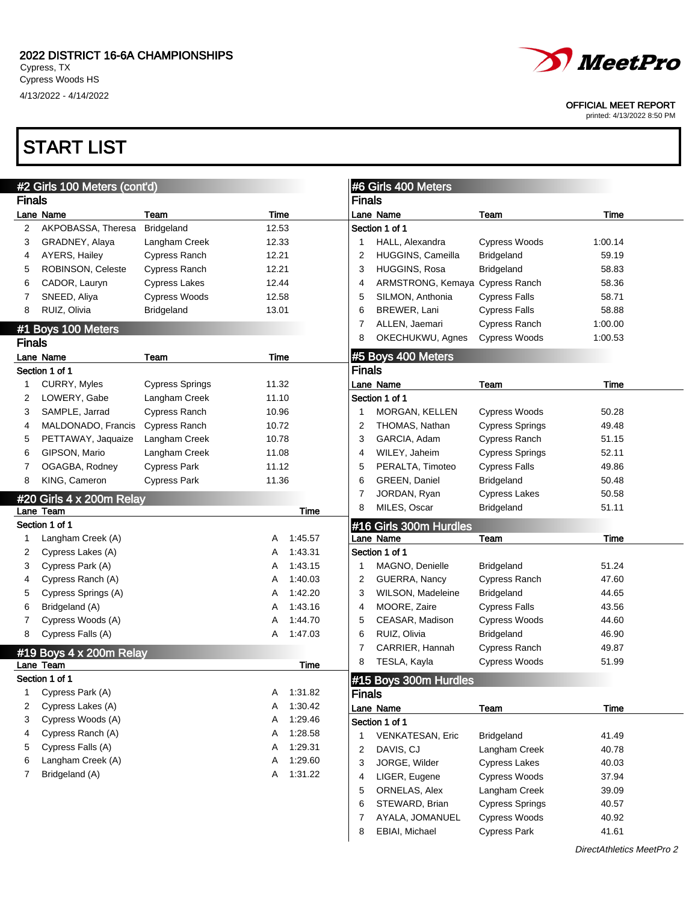

OFFICIAL MEET REPORT

printed: 4/13/2022 8:50 PM

## START LIST

|               | #2 Girls 100 Meters (cont'd) |                        |       |             |                | #6 Girls 400 Meters    |                        |         |
|---------------|------------------------------|------------------------|-------|-------------|----------------|------------------------|------------------------|---------|
| <b>Finals</b> |                              |                        |       |             | <b>Finals</b>  |                        |                        |         |
|               | Lane Name                    | Team                   | Time  |             |                | Lane Name              | Team                   | Time    |
| 2             | AKPOBASSA, Theresa           | Bridgeland             | 12.53 |             |                | Section 1 of 1         |                        |         |
| 3             | GRADNEY, Alaya               | Langham Creek          | 12.33 |             | -1             | HALL, Alexandra        | <b>Cypress Woods</b>   | 1:00.14 |
| 4             | AYERS, Hailey                | <b>Cypress Ranch</b>   | 12.21 |             | $\overline{2}$ | HUGGINS, Cameilla      | Bridgeland             | 59.19   |
| 5             | ROBINSON, Celeste            | Cypress Ranch          | 12.21 |             | 3              | HUGGINS, Rosa          | Bridgeland             | 58.83   |
| 6             | CADOR, Lauryn                | <b>Cypress Lakes</b>   | 12.44 |             | 4              | ARMSTRONG, Kemaya      | <b>Cypress Ranch</b>   | 58.36   |
| 7             | SNEED, Aliya                 | <b>Cypress Woods</b>   | 12.58 |             | 5              | SILMON, Anthonia       | <b>Cypress Falls</b>   | 58.71   |
| 8             | RUIZ, Olivia                 | <b>Bridgeland</b>      | 13.01 |             | 6              | BREWER, Lani           | <b>Cypress Falls</b>   | 58.88   |
|               | #1 Boys 100 Meters           |                        |       |             | 7              | ALLEN, Jaemari         | Cypress Ranch          | 1:00.00 |
| <b>Finals</b> |                              |                        |       |             | 8              | OKECHUKWU, Agnes       | <b>Cypress Woods</b>   | 1:00.53 |
|               | Lane Name                    | Team                   | Time  |             |                | #5 Boys 400 Meters     |                        |         |
|               | Section 1 of 1               |                        |       |             | <b>Finals</b>  |                        |                        |         |
| 1             | CURRY, Myles                 | <b>Cypress Springs</b> | 11.32 |             |                | Lane Name              | Team                   | Time    |
| 2             | LOWERY, Gabe                 | Langham Creek          | 11.10 |             |                | Section 1 of 1         |                        |         |
| 3             | SAMPLE, Jarrad               | Cypress Ranch          | 10.96 |             | -1             | MORGAN, KELLEN         | Cypress Woods          | 50.28   |
| 4             | MALDONADO, Francis           | Cypress Ranch          | 10.72 |             | $\overline{2}$ | THOMAS, Nathan         | <b>Cypress Springs</b> | 49.48   |
| 5             | PETTAWAY, Jaquaize           | Langham Creek          | 10.78 |             | 3              | GARCIA, Adam           | Cypress Ranch          | 51.15   |
| 6             | GIPSON, Mario                | Langham Creek          | 11.08 |             | 4              | WILEY, Jaheim          | <b>Cypress Springs</b> | 52.11   |
| 7             | OGAGBA, Rodney               | <b>Cypress Park</b>    | 11.12 |             | 5              | PERALTA, Timoteo       | <b>Cypress Falls</b>   | 49.86   |
| 8             | KING, Cameron                | <b>Cypress Park</b>    | 11.36 |             | 6              | GREEN, Daniel          | <b>Bridgeland</b>      | 50.48   |
|               |                              |                        |       |             | 7              | JORDAN, Ryan           | <b>Cypress Lakes</b>   | 50.58   |
|               | #20 Girls 4 x 200m Relay     |                        |       |             | 8              | MILES, Oscar           |                        | 51.11   |
|               | Lane Team                    |                        |       | <b>Time</b> |                |                        | Bridgeland             |         |
|               | Section 1 of 1               |                        |       |             |                | #16 Girls 300m Hurdles |                        |         |
| 1             | Langham Creek (A)            |                        | Α     | 1:45.57     |                | Lane Name              | Team                   | Time    |
| 2             | Cypress Lakes (A)            |                        | Α     | 1:43.31     |                | Section 1 of 1         |                        |         |
| 3             | Cypress Park (A)             |                        | Α     | 1:43.15     | -1             | MAGNO, Denielle        | <b>Bridgeland</b>      | 51.24   |
| 4             | Cypress Ranch (A)            |                        | Α     | 1:40.03     | 2              | GUERRA, Nancy          | Cypress Ranch          | 47.60   |
| 5             | Cypress Springs (A)          |                        | Α     | 1:42.20     | 3              | WILSON, Madeleine      | <b>Bridgeland</b>      | 44.65   |
| 6             | Bridgeland (A)               |                        | Α     | 1:43.16     | 4              | MOORE, Zaire           | <b>Cypress Falls</b>   | 43.56   |
| 7             | Cypress Woods (A)            |                        | Α     | 1:44.70     | 5              | CEASAR, Madison        | Cypress Woods          | 44.60   |
| 8             | Cypress Falls (A)            |                        | Α     | 1:47.03     | 6              | RUIZ, Olivia           | <b>Bridgeland</b>      | 46.90   |
|               | #19 Boys 4 x 200m Relay      |                        |       |             | 7              | CARRIER, Hannah        | Cypress Ranch          | 49.87   |
|               | Lane Team                    |                        |       | Time        | 8              | TESLA, Kayla           | Cypress Woods          | 51.99   |
|               | Section 1 of 1               |                        |       |             |                | #15 Boys 300m Hurdles  |                        |         |
| 1             | Cypress Park (A)             |                        | A     | 1:31.82     | <b>Finals</b>  |                        |                        |         |
| 2             | Cypress Lakes (A)            |                        | Α     | 1:30.42     |                | Lane Name              | Team                   | Time    |
| 3             | Cypress Woods (A)            |                        | Α     | 1:29.46     |                | Section 1 of 1         |                        |         |
| 4             | Cypress Ranch (A)            |                        | A     | 1:28.58     | 1              | VENKATESAN, Eric       | Bridgeland             | 41.49   |
| 5             | Cypress Falls (A)            |                        | Α     | 1:29.31     | $\overline{2}$ | DAVIS, CJ              | Langham Creek          | 40.78   |
| 6             | Langham Creek (A)            |                        | Α     | 1:29.60     | 3              | JORGE, Wilder          | <b>Cypress Lakes</b>   | 40.03   |
| 7             | Bridgeland (A)               |                        | Α     | 1:31.22     | 4              | LIGER, Eugene          | Cypress Woods          | 37.94   |
|               |                              |                        |       |             | 5              | ORNELAS, Alex          | Langham Creek          | 39.09   |
|               |                              |                        |       |             | 6              | STEWARD, Brian         | <b>Cypress Springs</b> | 40.57   |
|               |                              |                        |       |             | 7              | AYALA, JOMANUEL        | Cypress Woods          | 40.92   |
|               |                              |                        |       |             | 8              | EBIAI, Michael         | <b>Cypress Park</b>    | 41.61   |
|               |                              |                        |       |             |                |                        |                        |         |